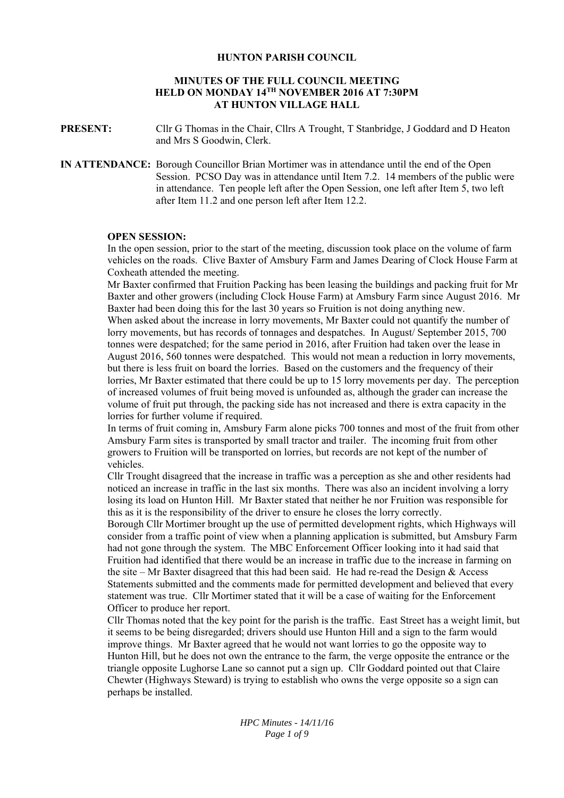## **HUNTON PARISH COUNCIL**

## **MINUTES OF THE FULL COUNCIL MEETING HELD ON MONDAY 14TH NOVEMBER 2016 AT 7:30PM AT HUNTON VILLAGE HALL**

**PRESENT:** Cllr G Thomas in the Chair, Cllrs A Trought, T Stanbridge, J Goddard and D Heaton and Mrs S Goodwin, Clerk.

**IN ATTENDANCE:** Borough Councillor Brian Mortimer was in attendance until the end of the Open Session. PCSO Day was in attendance until Item 7.2. 14 members of the public were in attendance. Ten people left after the Open Session, one left after Item 5, two left after Item 11.2 and one person left after Item 12.2.

## **OPEN SESSION:**

In the open session, prior to the start of the meeting, discussion took place on the volume of farm vehicles on the roads. Clive Baxter of Amsbury Farm and James Dearing of Clock House Farm at Coxheath attended the meeting.

Mr Baxter confirmed that Fruition Packing has been leasing the buildings and packing fruit for Mr Baxter and other growers (including Clock House Farm) at Amsbury Farm since August 2016. Mr Baxter had been doing this for the last 30 years so Fruition is not doing anything new.

When asked about the increase in lorry movements, Mr Baxter could not quantify the number of lorry movements, but has records of tonnages and despatches. In August/ September 2015, 700 tonnes were despatched; for the same period in 2016, after Fruition had taken over the lease in August 2016, 560 tonnes were despatched. This would not mean a reduction in lorry movements, but there is less fruit on board the lorries. Based on the customers and the frequency of their lorries, Mr Baxter estimated that there could be up to 15 lorry movements per day. The perception of increased volumes of fruit being moved is unfounded as, although the grader can increase the volume of fruit put through, the packing side has not increased and there is extra capacity in the lorries for further volume if required.

In terms of fruit coming in, Amsbury Farm alone picks 700 tonnes and most of the fruit from other Amsbury Farm sites is transported by small tractor and trailer. The incoming fruit from other growers to Fruition will be transported on lorries, but records are not kept of the number of vehicles.

Cllr Trought disagreed that the increase in traffic was a perception as she and other residents had noticed an increase in traffic in the last six months. There was also an incident involving a lorry losing its load on Hunton Hill. Mr Baxter stated that neither he nor Fruition was responsible for this as it is the responsibility of the driver to ensure he closes the lorry correctly.

Borough Cllr Mortimer brought up the use of permitted development rights, which Highways will consider from a traffic point of view when a planning application is submitted, but Amsbury Farm had not gone through the system. The MBC Enforcement Officer looking into it had said that Fruition had identified that there would be an increase in traffic due to the increase in farming on the site – Mr Baxter disagreed that this had been said. He had re-read the Design  $&$  Access Statements submitted and the comments made for permitted development and believed that every statement was true. Cllr Mortimer stated that it will be a case of waiting for the Enforcement Officer to produce her report.

Cllr Thomas noted that the key point for the parish is the traffic. East Street has a weight limit, but it seems to be being disregarded; drivers should use Hunton Hill and a sign to the farm would improve things. Mr Baxter agreed that he would not want lorries to go the opposite way to Hunton Hill, but he does not own the entrance to the farm, the verge opposite the entrance or the triangle opposite Lughorse Lane so cannot put a sign up. Cllr Goddard pointed out that Claire Chewter (Highways Steward) is trying to establish who owns the verge opposite so a sign can perhaps be installed.

> *HPC Minutes - 14/11/16 Page 1 of 9*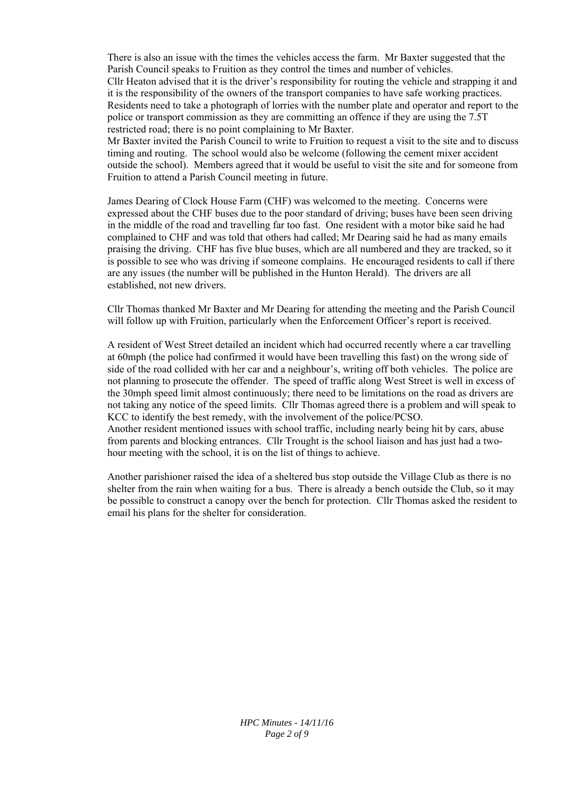There is also an issue with the times the vehicles access the farm. Mr Baxter suggested that the Parish Council speaks to Fruition as they control the times and number of vehicles. Cllr Heaton advised that it is the driver's responsibility for routing the vehicle and strapping it and it is the responsibility of the owners of the transport companies to have safe working practices. Residents need to take a photograph of lorries with the number plate and operator and report to the police or transport commission as they are committing an offence if they are using the 7.5T restricted road; there is no point complaining to Mr Baxter.

Mr Baxter invited the Parish Council to write to Fruition to request a visit to the site and to discuss timing and routing. The school would also be welcome (following the cement mixer accident outside the school). Members agreed that it would be useful to visit the site and for someone from Fruition to attend a Parish Council meeting in future.

James Dearing of Clock House Farm (CHF) was welcomed to the meeting. Concerns were expressed about the CHF buses due to the poor standard of driving; buses have been seen driving in the middle of the road and travelling far too fast. One resident with a motor bike said he had complained to CHF and was told that others had called; Mr Dearing said he had as many emails praising the driving. CHF has five blue buses, which are all numbered and they are tracked, so it is possible to see who was driving if someone complains. He encouraged residents to call if there are any issues (the number will be published in the Hunton Herald). The drivers are all established, not new drivers.

Cllr Thomas thanked Mr Baxter and Mr Dearing for attending the meeting and the Parish Council will follow up with Fruition, particularly when the Enforcement Officer's report is received.

A resident of West Street detailed an incident which had occurred recently where a car travelling at 60mph (the police had confirmed it would have been travelling this fast) on the wrong side of side of the road collided with her car and a neighbour's, writing off both vehicles. The police are not planning to prosecute the offender. The speed of traffic along West Street is well in excess of the 30mph speed limit almost continuously; there need to be limitations on the road as drivers are not taking any notice of the speed limits. Cllr Thomas agreed there is a problem and will speak to KCC to identify the best remedy, with the involvement of the police/PCSO. Another resident mentioned issues with school traffic, including nearly being hit by cars, abuse from parents and blocking entrances. Cllr Trought is the school liaison and has just had a twohour meeting with the school, it is on the list of things to achieve.

Another parishioner raised the idea of a sheltered bus stop outside the Village Club as there is no shelter from the rain when waiting for a bus. There is already a bench outside the Club, so it may be possible to construct a canopy over the bench for protection. Cllr Thomas asked the resident to email his plans for the shelter for consideration.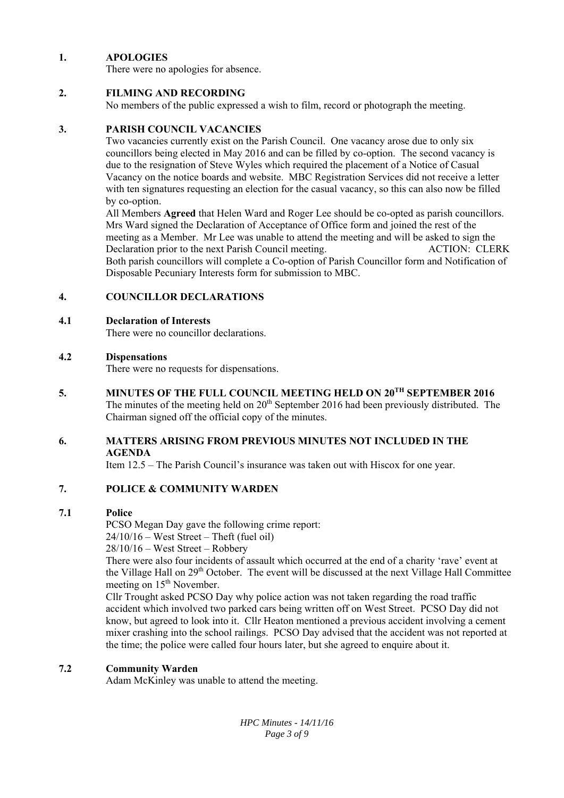## **1. APOLOGIES**

There were no apologies for absence.

## **2. FILMING AND RECORDING**

No members of the public expressed a wish to film, record or photograph the meeting.

## **3. PARISH COUNCIL VACANCIES**

Two vacancies currently exist on the Parish Council. One vacancy arose due to only six councillors being elected in May 2016 and can be filled by co-option. The second vacancy is due to the resignation of Steve Wyles which required the placement of a Notice of Casual Vacancy on the notice boards and website. MBC Registration Services did not receive a letter with ten signatures requesting an election for the casual vacancy, so this can also now be filled by co-option.

All Members **Agreed** that Helen Ward and Roger Lee should be co-opted as parish councillors. Mrs Ward signed the Declaration of Acceptance of Office form and joined the rest of the meeting as a Member. Mr Lee was unable to attend the meeting and will be asked to sign the Declaration prior to the next Parish Council meeting. ACTION: CLERK Both parish councillors will complete a Co-option of Parish Councillor form and Notification of Disposable Pecuniary Interests form for submission to MBC.

## **4. COUNCILLOR DECLARATIONS**

## **4.1 Declaration of Interests**

There were no councillor declarations.

## **4.2 Dispensations**

There were no requests for dispensations.

**5. MINUTES OF THE FULL COUNCIL MEETING HELD ON 20TH SEPTEMBER 2016** 

The minutes of the meeting held on  $20<sup>th</sup>$  September 2016 had been previously distributed. The Chairman signed off the official copy of the minutes.

## **6. MATTERS ARISING FROM PREVIOUS MINUTES NOT INCLUDED IN THE AGENDA**

Item 12.5 – The Parish Council's insurance was taken out with Hiscox for one year.

## **7. POLICE & COMMUNITY WARDEN**

## **7.1 Police**

PCSO Megan Day gave the following crime report:

 $24/10/16$  – West Street – Theft (fuel oil)

28/10/16 – West Street – Robbery

There were also four incidents of assault which occurred at the end of a charity 'rave' event at the Village Hall on 29<sup>th</sup> October. The event will be discussed at the next Village Hall Committee meeting on 15<sup>th</sup> November.

Cllr Trought asked PCSO Day why police action was not taken regarding the road traffic accident which involved two parked cars being written off on West Street. PCSO Day did not know, but agreed to look into it. Cllr Heaton mentioned a previous accident involving a cement mixer crashing into the school railings. PCSO Day advised that the accident was not reported at the time; the police were called four hours later, but she agreed to enquire about it.

## **7.2 Community Warden**

Adam McKinley was unable to attend the meeting.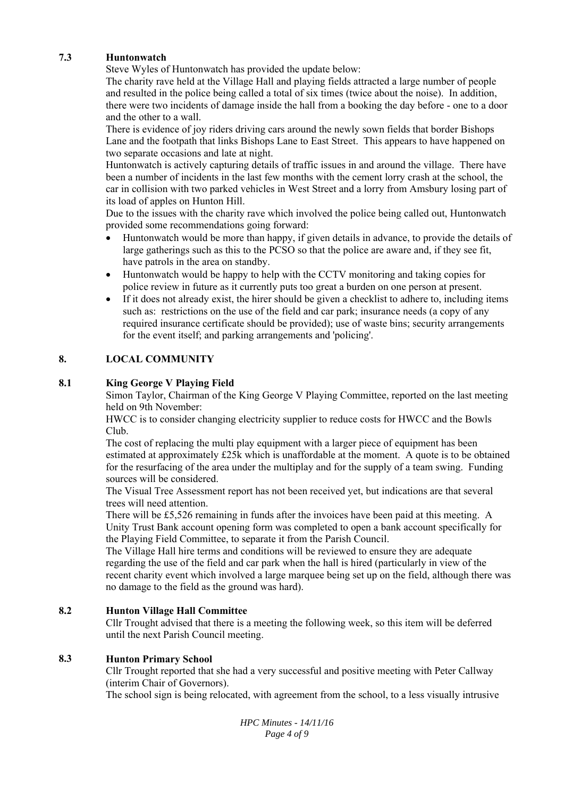## **7.3 Huntonwatch**

Steve Wyles of Huntonwatch has provided the update below:

The charity rave held at the Village Hall and playing fields attracted a large number of people and resulted in the police being called a total of six times (twice about the noise). In addition, there were two incidents of damage inside the hall from a booking the day before - one to a door and the other to a wall.

There is evidence of joy riders driving cars around the newly sown fields that border Bishops Lane and the footpath that links Bishops Lane to East Street. This appears to have happened on two separate occasions and late at night.

Huntonwatch is actively capturing details of traffic issues in and around the village. There have been a number of incidents in the last few months with the cement lorry crash at the school, the car in collision with two parked vehicles in West Street and a lorry from Amsbury losing part of its load of apples on Hunton Hill.

Due to the issues with the charity rave which involved the police being called out, Huntonwatch provided some recommendations going forward:

- Huntonwatch would be more than happy, if given details in advance, to provide the details of large gatherings such as this to the PCSO so that the police are aware and, if they see fit, have patrols in the area on standby.
- Huntonwatch would be happy to help with the CCTV monitoring and taking copies for police review in future as it currently puts too great a burden on one person at present.
- If it does not already exist, the hirer should be given a checklist to adhere to, including items such as: restrictions on the use of the field and car park; insurance needs (a copy of any required insurance certificate should be provided); use of waste bins; security arrangements for the event itself; and parking arrangements and 'policing'.

## **8. LOCAL COMMUNITY**

## **8.1 King George V Playing Field**

Simon Taylor, Chairman of the King George V Playing Committee, reported on the last meeting held on 9th November:

HWCC is to consider changing electricity supplier to reduce costs for HWCC and the Bowls Club.

The cost of replacing the multi play equipment with a larger piece of equipment has been estimated at approximately £25k which is unaffordable at the moment. A quote is to be obtained for the resurfacing of the area under the multiplay and for the supply of a team swing. Funding sources will be considered.

The Visual Tree Assessment report has not been received yet, but indications are that several trees will need attention.

There will be £5,526 remaining in funds after the invoices have been paid at this meeting. A Unity Trust Bank account opening form was completed to open a bank account specifically for the Playing Field Committee, to separate it from the Parish Council.

The Village Hall hire terms and conditions will be reviewed to ensure they are adequate regarding the use of the field and car park when the hall is hired (particularly in view of the recent charity event which involved a large marquee being set up on the field, although there was no damage to the field as the ground was hard).

## **8.2 Hunton Village Hall Committee**

Cllr Trought advised that there is a meeting the following week, so this item will be deferred until the next Parish Council meeting.

## **8.3 Hunton Primary School**

Cllr Trought reported that she had a very successful and positive meeting with Peter Callway (interim Chair of Governors).

The school sign is being relocated, with agreement from the school, to a less visually intrusive

*HPC Minutes - 14/11/16 Page 4 of 9*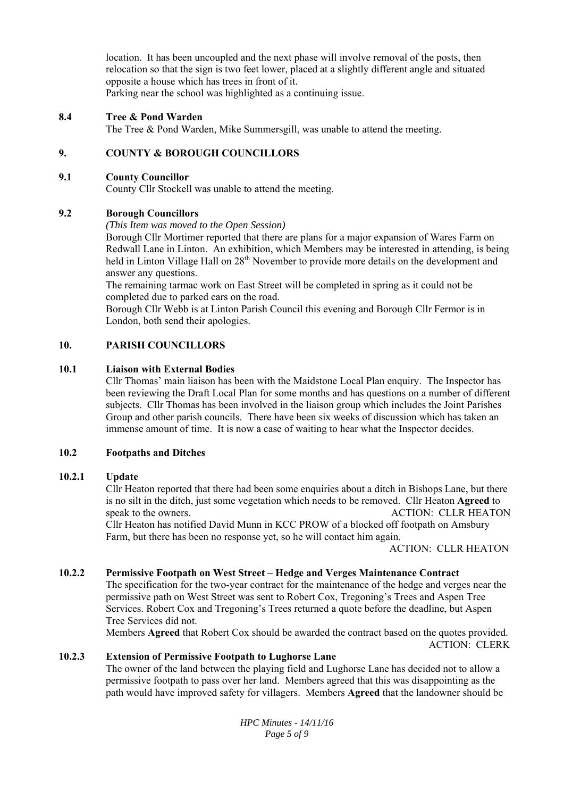location. It has been uncoupled and the next phase will involve removal of the posts, then relocation so that the sign is two feet lower, placed at a slightly different angle and situated opposite a house which has trees in front of it. Parking near the school was highlighted as a continuing issue.

#### **8.4 Tree & Pond Warden**

The Tree & Pond Warden, Mike Summersgill, was unable to attend the meeting.

## **9. COUNTY & BOROUGH COUNCILLORS**

#### **9.1 County Councillor**

County Cllr Stockell was unable to attend the meeting.

## **9.2 Borough Councillors**

## *(This Item was moved to the Open Session)*

Borough Cllr Mortimer reported that there are plans for a major expansion of Wares Farm on Redwall Lane in Linton. An exhibition, which Members may be interested in attending, is being held in Linton Village Hall on 28<sup>th</sup> November to provide more details on the development and answer any questions.

The remaining tarmac work on East Street will be completed in spring as it could not be completed due to parked cars on the road.

Borough Cllr Webb is at Linton Parish Council this evening and Borough Cllr Fermor is in London, both send their apologies.

## **10. PARISH COUNCILLORS**

#### **10.1 Liaison with External Bodies**

Cllr Thomas' main liaison has been with the Maidstone Local Plan enquiry. The Inspector has been reviewing the Draft Local Plan for some months and has questions on a number of different subjects. Cllr Thomas has been involved in the liaison group which includes the Joint Parishes Group and other parish councils. There have been six weeks of discussion which has taken an immense amount of time. It is now a case of waiting to hear what the Inspector decides.

#### **10.2 Footpaths and Ditches**

#### **10.2.1 Update**

Cllr Heaton reported that there had been some enquiries about a ditch in Bishops Lane, but there is no silt in the ditch, just some vegetation which needs to be removed. Cllr Heaton **Agreed** to speak to the owners. ACTION: CLLR HEATON Cllr Heaton has notified David Munn in KCC PROW of a blocked off footpath on Amsbury Farm, but there has been no response yet, so he will contact him again.

ACTION: CLLR HEATON

## **10.2.2 Permissive Footpath on West Street – Hedge and Verges Maintenance Contract**

The specification for the two-year contract for the maintenance of the hedge and verges near the permissive path on West Street was sent to Robert Cox, Tregoning's Trees and Aspen Tree Services. Robert Cox and Tregoning's Trees returned a quote before the deadline, but Aspen Tree Services did not.

Members **Agreed** that Robert Cox should be awarded the contract based on the quotes provided. ACTION: CLERK

#### **10.2.3 Extension of Permissive Footpath to Lughorse Lane**

The owner of the land between the playing field and Lughorse Lane has decided not to allow a permissive footpath to pass over her land. Members agreed that this was disappointing as the path would have improved safety for villagers. Members **Agreed** that the landowner should be

> *HPC Minutes - 14/11/16 Page 5 of 9*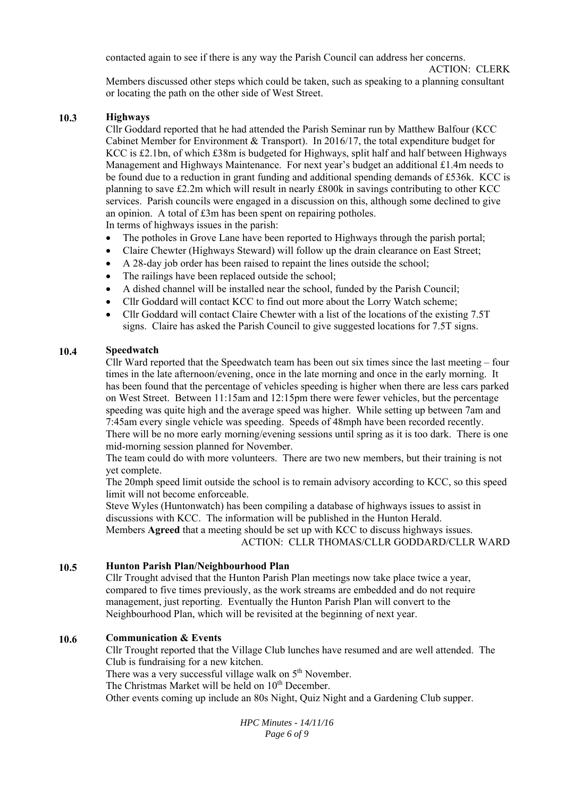contacted again to see if there is any way the Parish Council can address her concerns.

# ACTION: CLERK

Members discussed other steps which could be taken, such as speaking to a planning consultant or locating the path on the other side of West Street.

## **10.3 Highways**

Cllr Goddard reported that he had attended the Parish Seminar run by Matthew Balfour (KCC Cabinet Member for Environment & Transport). In 2016/17, the total expenditure budget for KCC is £2.1bn, of which £38m is budgeted for Highways, split half and half between Highways Management and Highways Maintenance. For next year's budget an additional  $£1.4m$  needs to be found due to a reduction in grant funding and additional spending demands of £536k. KCC is planning to save £2.2m which will result in nearly £800k in savings contributing to other KCC services. Parish councils were engaged in a discussion on this, although some declined to give an opinion. A total of £3m has been spent on repairing potholes. In terms of highways issues in the parish:

- The potholes in Grove Lane have been reported to Highways through the parish portal;
- Claire Chewter (Highways Steward) will follow up the drain clearance on East Street;
- A 28-day job order has been raised to repaint the lines outside the school;
- The railings have been replaced outside the school;
- A dished channel will be installed near the school, funded by the Parish Council;
- Cllr Goddard will contact KCC to find out more about the Lorry Watch scheme;
- Cllr Goddard will contact Claire Chewter with a list of the locations of the existing 7.5T signs. Claire has asked the Parish Council to give suggested locations for 7.5T signs.

## **10.4 Speedwatch**

Cllr Ward reported that the Speedwatch team has been out six times since the last meeting  $-$  four times in the late afternoon/evening, once in the late morning and once in the early morning. It has been found that the percentage of vehicles speeding is higher when there are less cars parked on West Street. Between 11:15am and 12:15pm there were fewer vehicles, but the percentage speeding was quite high and the average speed was higher. While setting up between 7am and 7:45am every single vehicle was speeding. Speeds of 48mph have been recorded recently. There will be no more early morning/evening sessions until spring as it is too dark. There is one mid-morning session planned for November.

The team could do with more volunteers. There are two new members, but their training is not yet complete.

The 20mph speed limit outside the school is to remain advisory according to KCC, so this speed limit will not become enforceable.

Steve Wyles (Huntonwatch) has been compiling a database of highways issues to assist in discussions with KCC. The information will be published in the Hunton Herald. Members **Agreed** that a meeting should be set up with KCC to discuss highways issues. ACTION: CLLR THOMAS/CLLR GODDARD/CLLR WARD

## **10.5 Hunton Parish Plan/Neighbourhood Plan**

Cllr Trought advised that the Hunton Parish Plan meetings now take place twice a year, compared to five times previously, as the work streams are embedded and do not require management, just reporting. Eventually the Hunton Parish Plan will convert to the Neighbourhood Plan, which will be revisited at the beginning of next year.

## **10.6 Communication & Events**

Cllr Trought reported that the Village Club lunches have resumed and are well attended. The Club is fundraising for a new kitchen.

There was a very successful village walk on  $5<sup>th</sup>$  November.

The Christmas Market will be held on 10<sup>th</sup> December.

Other events coming up include an 80s Night, Quiz Night and a Gardening Club supper.

*HPC Minutes - 14/11/16 Page 6 of 9*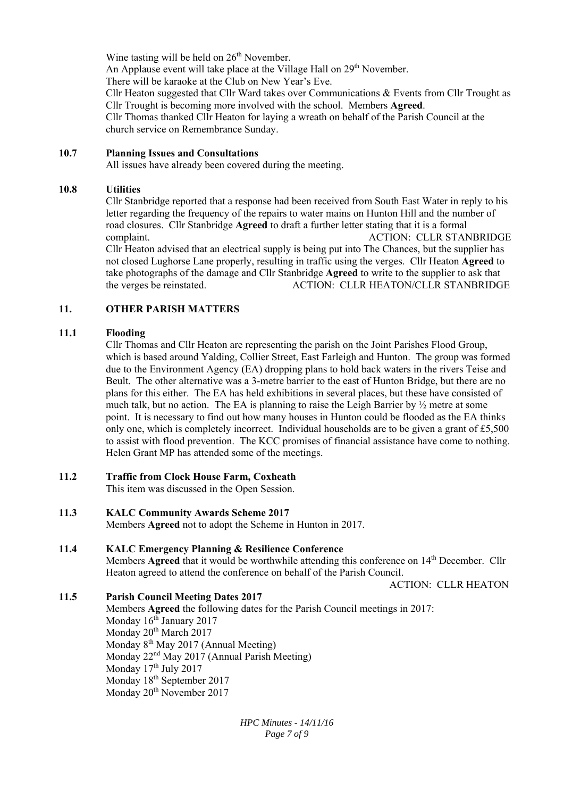Wine tasting will be held on  $26<sup>th</sup>$  November.

An Applause event will take place at the Village Hall on 29<sup>th</sup> November.

There will be karaoke at the Club on New Year's Eve.

Cllr Heaton suggested that Cllr Ward takes over Communications & Events from Cllr Trought as Cllr Trought is becoming more involved with the school. Members **Agreed**.

Cllr Thomas thanked Cllr Heaton for laying a wreath on behalf of the Parish Council at the church service on Remembrance Sunday.

## **10.7 Planning Issues and Consultations**

All issues have already been covered during the meeting.

## **10.8 Utilities**

Cllr Stanbridge reported that a response had been received from South East Water in reply to his letter regarding the frequency of the repairs to water mains on Hunton Hill and the number of road closures. Cllr Stanbridge **Agreed** to draft a further letter stating that it is a formal complaint. ACTION: CLLR STANBRIDGE Cllr Heaton advised that an electrical supply is being put into The Chances, but the supplier has not closed Lughorse Lane properly, resulting in traffic using the verges. Cllr Heaton **Agreed** to take photographs of the damage and Cllr Stanbridge **Agreed** to write to the supplier to ask that the verges be reinstated. ACTION: CLLR HEATON/CLLR STANBRIDGE

## **11. OTHER PARISH MATTERS**

## **11.1 Flooding**

Cllr Thomas and Cllr Heaton are representing the parish on the Joint Parishes Flood Group, which is based around Yalding, Collier Street, East Farleigh and Hunton. The group was formed due to the Environment Agency (EA) dropping plans to hold back waters in the rivers Teise and Beult. The other alternative was a 3-metre barrier to the east of Hunton Bridge, but there are no plans for this either. The EA has held exhibitions in several places, but these have consisted of much talk, but no action. The EA is planning to raise the Leigh Barrier by ½ metre at some point. It is necessary to find out how many houses in Hunton could be flooded as the EA thinks only one, which is completely incorrect. Individual households are to be given a grant of  $£5,500$ to assist with flood prevention. The KCC promises of financial assistance have come to nothing. Helen Grant MP has attended some of the meetings.

**11.2 Traffic from Clock House Farm, Coxheath** 

This item was discussed in the Open Session.

**11.3 KALC Community Awards Scheme 2017** 

Members **Agreed** not to adopt the Scheme in Hunton in 2017.

## **11.4 KALC Emergency Planning & Resilience Conference**

Members **Agreed** that it would be worthwhile attending this conference on 14<sup>th</sup> December. Cllr Heaton agreed to attend the conference on behalf of the Parish Council.

ACTION: CLLR HEATON

## **11.5 Parish Council Meeting Dates 2017**

Members **Agreed** the following dates for the Parish Council meetings in 2017: Monday 16<sup>th</sup> January 2017 Monday 20<sup>th</sup> March 2017 Monday 8<sup>th</sup> May 2017 (Annual Meeting) Monday 22nd May 2017 (Annual Parish Meeting) Monday 17<sup>th</sup> July 2017 Monday 18<sup>th</sup> September 2017 Monday 20<sup>th</sup> November 2017

> *HPC Minutes - 14/11/16 Page 7 of 9*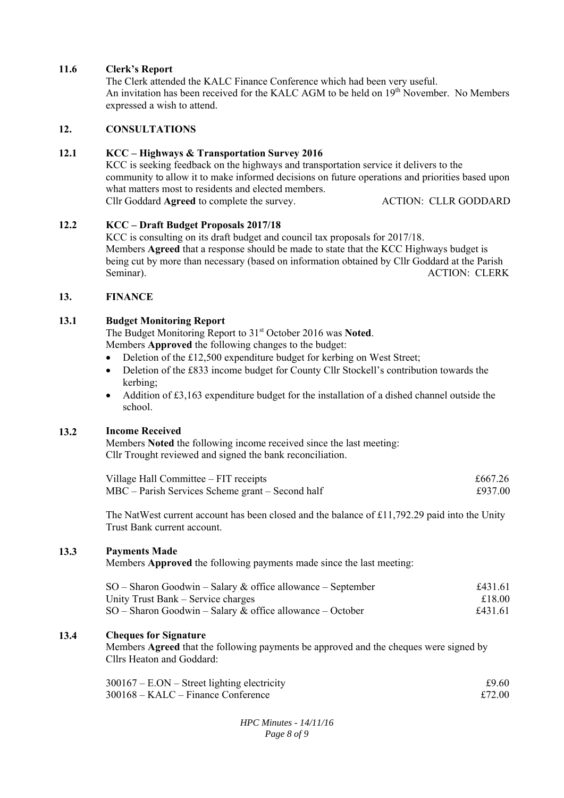#### **11.6 Clerk's Report**

The Clerk attended the KALC Finance Conference which had been very useful. An invitation has been received for the KALC AGM to be held on 19<sup>th</sup> November. No Members expressed a wish to attend.

#### **12. CONSULTATIONS**

#### **12.1 KCC – Highways & Transportation Survey 2016**

KCC is seeking feedback on the highways and transportation service it delivers to the community to allow it to make informed decisions on future operations and priorities based upon what matters most to residents and elected members. Cllr Goddard **Agreed** to complete the survey. ACTION: CLLR GODDARD

#### **12.2 KCC – Draft Budget Proposals 2017/18**

KCC is consulting on its draft budget and council tax proposals for 2017/18. Members **Agreed** that a response should be made to state that the KCC Highways budget is being cut by more than necessary (based on information obtained by Cllr Goddard at the Parish Seminar). ACTION: CLERK

#### **13. FINANCE**

#### **13.1 Budget Monitoring Report**

The Budget Monitoring Report to 31<sup>st</sup> October 2016 was Noted. Members **Approved** the following changes to the budget:

- Deletion of the £12,500 expenditure budget for kerbing on West Street;
- Deletion of the £833 income budget for County Cllr Stockell's contribution towards the kerbing;
- Addition of £3,163 expenditure budget for the installation of a dished channel outside the school.

## **13.2 Income Received**

Members **Noted** the following income received since the last meeting: Cllr Trought reviewed and signed the bank reconciliation.

| Village Hall Committee – FIT receipts            | £667.26 |
|--------------------------------------------------|---------|
| MBC – Parish Services Scheme grant – Second half | £937.00 |

The NatWest current account has been closed and the balance of £11,792.29 paid into the Unity Trust Bank current account.

## **13.3 Payments Made**

Members **Approved** the following payments made since the last meeting:

| $SO -$ Sharon Goodwin – Salary & office allowance – September | £431.61 |
|---------------------------------------------------------------|---------|
| Unity Trust Bank – Service charges                            | £18.00  |
| $SO -$ Sharon Goodwin – Salary & office allowance – October   | £431.61 |

## **13.4 Cheques for Signature**

Members **Agreed** that the following payments be approved and the cheques were signed by Cllrs Heaton and Goddard:

| $300167 - E. ON - Street lighting electricity$ | £9.60  |
|------------------------------------------------|--------|
| $300168 - KALC - Finance$ Conference           | £72.00 |

*HPC Minutes - 14/11/16 Page 8 of 9*